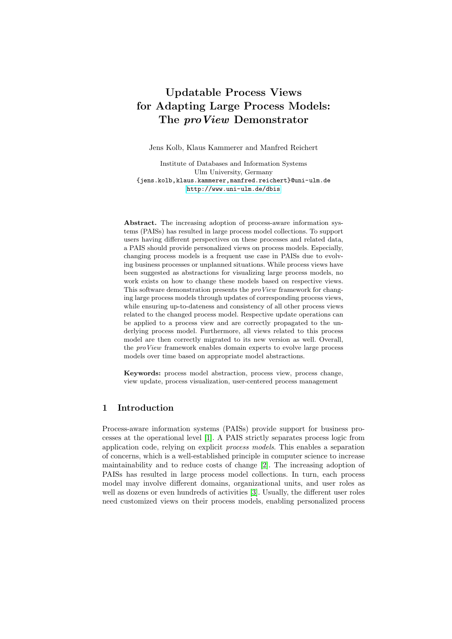# Updatable Process Views for Adapting Large Process Models: The *proView* Demonstrator

Jens Kolb, Klaus Kammerer and Manfred Reichert

Institute of Databases and Information Systems Ulm University, Germany {jens.kolb,klaus.kammerer,manfred.reichert}@uni-ulm.de <http://www.uni-ulm.de/dbis>

Abstract. The increasing adoption of process-aware information systems (PAISs) has resulted in large process model collections. To support users having different perspectives on these processes and related data, a PAIS should provide personalized views on process models. Especially, changing process models is a frequent use case in PAISs due to evolving business processes or unplanned situations. While process views have been suggested as abstractions for visualizing large process models, no work exists on how to change these models based on respective views. This software demonstration presents the *proView* framework for changing large process models through updates of corresponding process views, while ensuring up-to-dateness and consistency of all other process views related to the changed process model. Respective update operations can be applied to a process view and are correctly propagated to the underlying process model. Furthermore, all views related to this process model are then correctly migrated to its new version as well. Overall, the proView framework enables domain experts to evolve large process models over time based on appropriate model abstractions.

Keywords: process model abstraction, process view, process change, view update, process visualization, user-centered process management

## 1 Introduction

Process-aware information systems (PAISs) provide support for business processes at the operational level [\[1\]](#page-5-0). A PAIS strictly separates process logic from application code, relying on explicit process models. This enables a separation of concerns, which is a well-established principle in computer science to increase maintainability and to reduce costs of change [\[2\]](#page-5-1). The increasing adoption of PAISs has resulted in large process model collections. In turn, each process model may involve different domains, organizational units, and user roles as well as dozens or even hundreds of activities [\[3\]](#page-5-2). Usually, the different user roles need customized views on their process models, enabling personalized process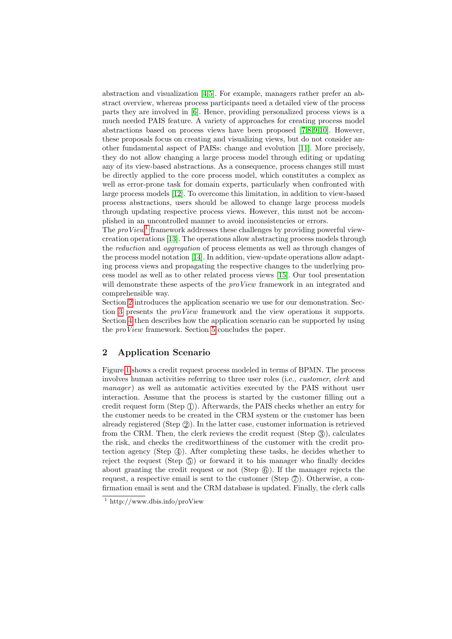abstraction and visualization [\[4](#page-5-3)[,5\]](#page-5-4). For example, managers rather prefer an abstract overview, whereas process participants need a detailed view of the process parts they are involved in [\[6\]](#page-5-5). Hence, providing personalized process views is a much needed PAIS feature. A variety of approaches for creating process model abstractions based on process views have been proposed [\[7](#page-5-6)[,8,](#page-5-7)[9,](#page-5-8)[10\]](#page-5-9). However, these proposals focus on creating and visualizing views, but do not consider another fundamental aspect of PAISs: change and evolution [\[11\]](#page-5-10). More precisely, they do not allow changing a large process model through editing or updating any of its view-based abstractions. As a consequence, process changes still must be directly applied to the core process model, which constitutes a complex as well as error-prone task for domain experts, particularly when confronted with large process models [\[12\]](#page-5-11). To overcome this limitation, in addition to view-based process abstractions, users should be allowed to change large process models through updating respective process views. However, this must not be accomplished in an uncontrolled manner to avoid inconsistencies or errors.

The  $proView<sup>1</sup>$  $proView<sup>1</sup>$  $proView<sup>1</sup>$  framework addresses these challenges by providing powerful viewcreation operations [\[13\]](#page-5-12). The operations allow abstracting process models through the reduction and aggregation of process elements as well as through changes of the process model notation [\[14\]](#page-5-13). In addition, view-update operations allow adapting process views and propagating the respective changes to the underlying process model as well as to other related process views [\[15\]](#page-5-14). Our tool presentation will demonstrate these aspects of the *proView* framework in an integrated and comprehensible way.

Section [2](#page-1-1) introduces the application scenario we use for our demonstration. Section [3](#page-2-0) presents the proView framework and the view operations it supports. Section [4](#page-3-0) then describes how the application scenario can be supported by using the proView framework. Section [5](#page-4-0) concludes the paper.

## <span id="page-1-1"></span>2 Application Scenario

Figure [1](#page-2-1) shows a credit request process modeled in terms of BPMN. The process involves human activities referring to three user roles (i.e., customer, clerk and *manager*) as well as automatic activities executed by the PAIS without user interaction. Assume that the process is started by the customer filling out a credit request form  $(Step (T))$ . Afterwards, the PAIS checks whether an entry for the customer needs to be created in the CRM system or the customer has been already registered  $(S_{\text{top }Q})$ . In the latter case, customer information is retrieved from the CRM. Then, the clerk reviews the credit request  $(Step \, \textcircled{3})$ , calculates the risk, and checks the creditworthiness of the customer with the credit protection agency (Step  $\left(\mathcal{A}\right)$ ). After completing these tasks, he decides whether to reject the request  $(Stop (5))$  or forward it to his manager who finally decides about granting the credit request or not  $(S<sup>t</sup>(f<sub>0</sub>))$ . If the manager rejects the request, a respective email is sent to the customer (Step  $(\overline{\tau})$ ). Otherwise, a confirmation email is sent and the CRM database is updated. Finally, the clerk calls

<span id="page-1-0"></span><sup>1</sup> http://www.dbis.info/proView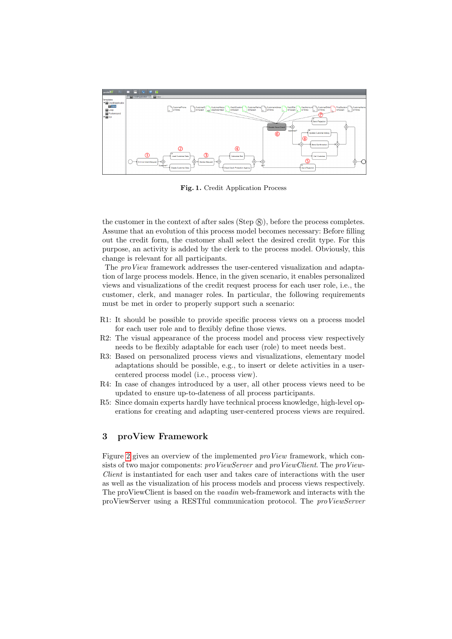

<span id="page-2-1"></span>Fig. 1. Credit Application Process

the customer in the context of after sales  $(Sten \& S)$ , before the process completes. Assume that an evolution of this process model becomes necessary: Before filling out the credit form, the customer shall select the desired credit type. For this purpose, an activity is added by the clerk to the process model. Obviously, this change is relevant for all participants.

The proView framework addresses the user-centered visualization and adaptation of large process models. Hence, in the given scenario, it enables personalized views and visualizations of the credit request process for each user role, i.e., the customer, clerk, and manager roles. In particular, the following requirements must be met in order to properly support such a scenario:

- R1: It should be possible to provide specific process views on a process model for each user role and to flexibly define those views.
- R2: The visual appearance of the process model and process view respectively needs to be flexibly adaptable for each user (role) to meet needs best.
- R3: Based on personalized process views and visualizations, elementary model adaptations should be possible, e.g., to insert or delete activities in a usercentered process model (i.e., process view).
- R4: In case of changes introduced by a user, all other process views need to be updated to ensure up-to-dateness of all process participants.
- R5: Since domain experts hardly have technical process knowledge, high-level operations for creating and adapting user-centered process views are required.

### <span id="page-2-0"></span>3 proView Framework

Figure [2](#page-3-1) gives an overview of the implemented proView framework, which consists of two major components: pro ViewServer and pro ViewClient. The pro View-Client is instantiated for each user and takes care of interactions with the user as well as the visualization of his process models and process views respectively. The proViewClient is based on the vaadin web-framework and interacts with the proViewServer using a RESTful communication protocol. The proViewServer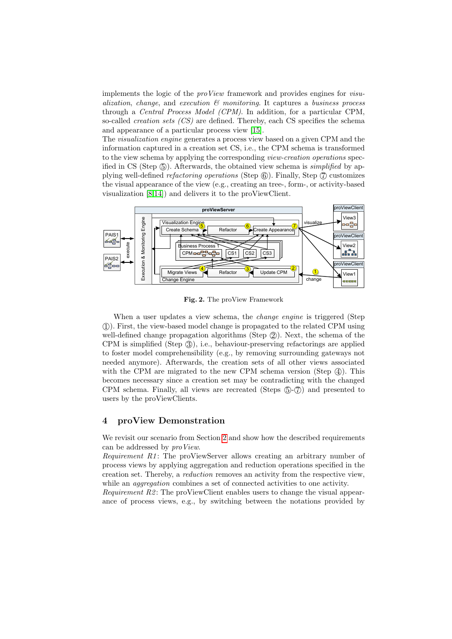implements the logic of the proView framework and provides engines for visualization, change, and execution  $\mathcal C$  monitoring. It captures a business process through a Central Process Model (CPM). In addition, for a particular CPM, so-called *creation sets*  $(CS)$  are defined. Thereby, each CS specifies the schema and appearance of a particular process view [\[15\]](#page-5-14).

The visualization engine generates a process view based on a given CPM and the information captured in a creation set CS, i.e., the CPM schema is transformed to the view schema by applying the corresponding view-creation operations specified in CS (Step  $\mathcal{F}$ ). Afterwards, the obtained view schema is *simplified* by applying well-defined *refactoring operations* (Step  $\circled{6}$ ). Finally, Step  $\circled{7}$  customizes the visual appearance of the view (e.g., creating an tree-, form-, or activity-based visualization [\[8](#page-5-7)[,14\]](#page-5-13)) and delivers it to the proViewClient.



<span id="page-3-1"></span>Fig. 2. The proView Framework

When a user updates a view schema, the *change engine* is triggered (Step 1 ). First, the view-based model change is propagated to the related CPM using well-defined change propagation algorithms (Step  $(2)$ ). Next, the schema of the CPM is simplified (Step 3), i.e., behaviour-preserving refactorings are applied to foster model comprehensibility (e.g., by removing surrounding gateways not needed anymore). Afterwards, the creation sets of all other views associated with the CPM are migrated to the new CPM schema version (Step  $(4)$ ). This becomes necessary since a creation set may be contradicting with the changed CPM schema. Finally, all views are recreated (Steps  $(5)$ - $(7)$ ) and presented to users by the proViewClients.

#### <span id="page-3-0"></span>4 proView Demonstration

We revisit our scenario from Section [2](#page-1-1) and show how the described requirements can be addressed by proView.

Requirement R1: The proViewServer allows creating an arbitrary number of process views by applying aggregation and reduction operations specified in the creation set. Thereby, a reduction removes an activity from the respective view, while an *aggregation* combines a set of connected activities to one activity. Requirement  $R2$ : The proViewClient enables users to change the visual appear-

ance of process views, e.g., by switching between the notations provided by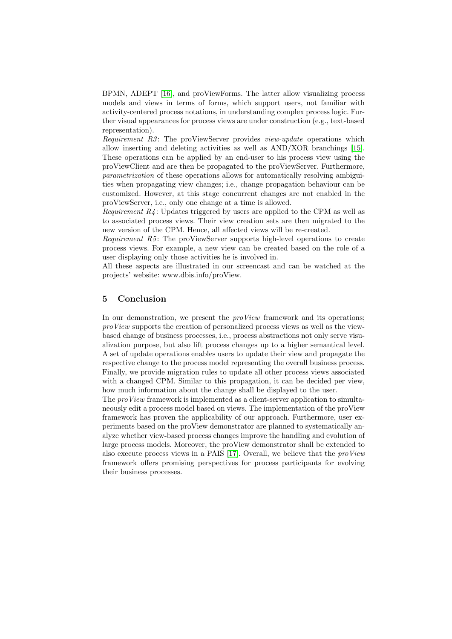BPMN, ADEPT [\[16\]](#page-5-15), and proViewForms. The latter allow visualizing process models and views in terms of forms, which support users, not familiar with activity-centered process notations, in understanding complex process logic. Further visual appearances for process views are under construction (e.g., text-based representation).

Requirement  $R3$ : The proViewServer provides view-update operations which allow inserting and deleting activities as well as AND/XOR branchings [\[15\]](#page-5-14). These operations can be applied by an end-user to his process view using the proViewClient and are then be propagated to the proViewServer. Furthermore, parametrization of these operations allows for automatically resolving ambiguities when propagating view changes; i.e., change propagation behaviour can be customized. However, at this stage concurrent changes are not enabled in the proViewServer, i.e., only one change at a time is allowed.

Requirement  $R_4$ : Updates triggered by users are applied to the CPM as well as to associated process views. Their view creation sets are then migrated to the new version of the CPM. Hence, all affected views will be re-created.

Requirement  $R5$ : The proViewServer supports high-level operations to create process views. For example, a new view can be created based on the role of a user displaying only those activities he is involved in.

All these aspects are illustrated in our screencast and can be watched at the projects' website: www.dbis.info/proView.

#### <span id="page-4-0"></span>5 Conclusion

In our demonstration, we present the  $proView$  framework and its operations; proView supports the creation of personalized process views as well as the viewbased change of business processes, i.e., process abstractions not only serve visualization purpose, but also lift process changes up to a higher semantical level. A set of update operations enables users to update their view and propagate the respective change to the process model representing the overall business process. Finally, we provide migration rules to update all other process views associated with a changed CPM. Similar to this propagation, it can be decided per view, how much information about the change shall be displayed to the user.

The proView framework is implemented as a client-server application to simultaneously edit a process model based on views. The implementation of the proView framework has proven the applicability of our approach. Furthermore, user experiments based on the proView demonstrator are planned to systematically analyze whether view-based process changes improve the handling and evolution of large process models. Moreover, the proView demonstrator shall be extended to also execute process views in a PAIS [\[17\]](#page-5-16). Overall, we believe that the proView framework offers promising perspectives for process participants for evolving their business processes.